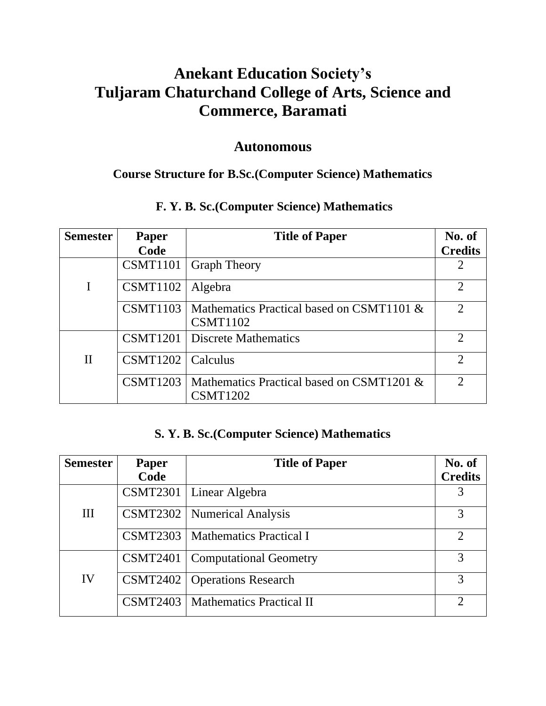# **Anekant Education Society's Tuljaram Chaturchand College of Arts, Science and Commerce, Baramati**

# **Autonomous**

# **Course Structure for B.Sc.(Computer Science) Mathematics**

# **F. Y. B. Sc.(Computer Science) Mathematics**

| <b>Semester</b> | Paper           | <b>Title of Paper</b>                                        | No. of                      |
|-----------------|-----------------|--------------------------------------------------------------|-----------------------------|
|                 | Code            |                                                              | <b>Credits</b>              |
|                 | <b>CSMT1101</b> | <b>Graph Theory</b>                                          | $\overline{2}$              |
|                 | CSMT1102        | Algebra                                                      | $\mathcal{D}_{\mathcal{L}}$ |
|                 | <b>CSMT1103</b> | Mathematics Practical based on CSMT1101 &<br><b>CSMT1102</b> | $\sum_{i=1}^{n}$            |
|                 | <b>CSMT1201</b> | Discrete Mathematics                                         | $\overline{2}$              |
| $\mathbf{I}$    | <b>CSMT1202</b> | Calculus                                                     | $\overline{2}$              |
|                 | <b>CSMT1203</b> | Mathematics Practical based on CSMT1201 &<br><b>CSMT1202</b> | $\mathcal{D}_{\mathcal{L}}$ |

### **S. Y. B. Sc.(Computer Science) Mathematics**

| <b>Semester</b> | Paper           | <b>Title of Paper</b>           | No. of         |
|-----------------|-----------------|---------------------------------|----------------|
|                 | Code            |                                 | <b>Credits</b> |
| III             | <b>CSMT2301</b> | Linear Algebra                  | 3              |
|                 | <b>CSMT2302</b> | <b>Numerical Analysis</b>       | 3              |
|                 | <b>CSMT2303</b> | <b>Mathematics Practical I</b>  | $\overline{2}$ |
|                 | <b>CSMT2401</b> | <b>Computational Geometry</b>   | 3              |
| IV              | CSMT2402        | <b>Operations Research</b>      | 3              |
|                 | CSMT2403        | <b>Mathematics Practical II</b> | $\mathcal{D}$  |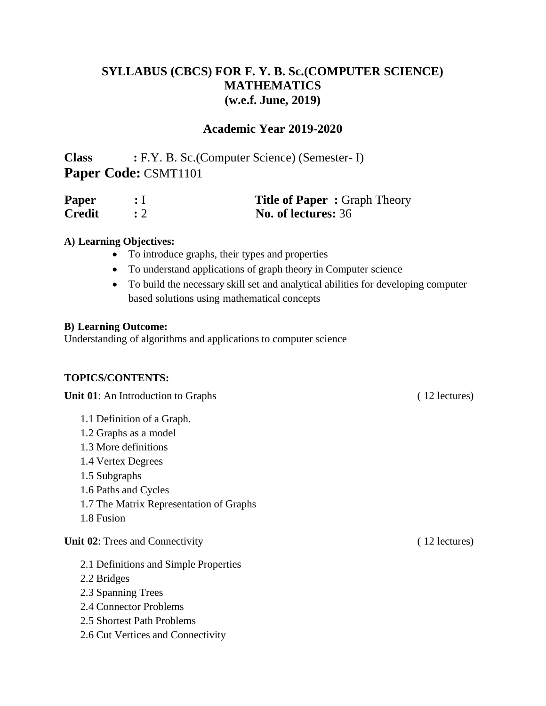# **SYLLABUS (CBCS) FOR F. Y. B. Sc.(COMPUTER SCIENCE) MATHEMATICS (w.e.f. June, 2019)**

### **Academic Year 2019-2020**

**Class :** F.Y. B. Sc.(Computer Science) (Semester- I) **Paper Code:** CSMT1101

| <b>Paper</b>  | <b>Title of Paper: Graph Theory</b> |
|---------------|-------------------------------------|
| <b>Credit</b> | No. of lectures: 36                 |

#### **A) Learning Objectives:**

- To introduce graphs, their types and properties
- To understand applications of graph theory in Computer science
- To build the necessary skill set and analytical abilities for developing computer based solutions using mathematical concepts

#### **B) Learning Outcome:**

Understanding of algorithms and applications to computer science

### **TOPICS/CONTENTS:**

**Unit 01**: An Introduction to Graphs ( 12 lectures)

- 1.1 Definition of a Graph.
- 1.2 Graphs as a model
- 1.3 More definitions
- 1.4 Vertex Degrees
- 1.5 Subgraphs
- 1.6 Paths and Cycles
- 1.7 The Matrix Representation of Graphs
- 1.8 Fusion

#### **Unit 02**: Trees and Connectivity (12 lectures)

- 2.1 Definitions and Simple Properties
- 2.2 Bridges
- 2.3 Spanning Trees
- 2.4 Connector Problems
- 2.5 Shortest Path Problems
- 2.6 Cut Vertices and Connectivity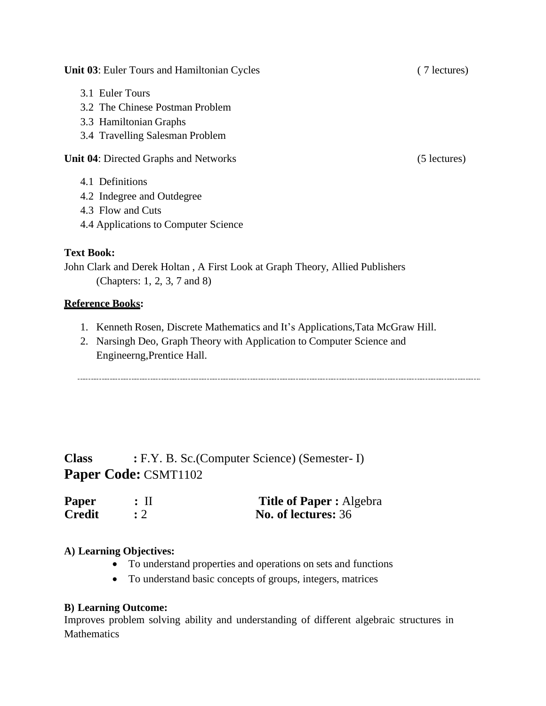**Unit 03**: Euler Tours and Hamiltonian Cycles ( 7 lectures)

- 3.1 Euler Tours
- 3.2 The Chinese Postman Problem
- 3.3 Hamiltonian Graphs
- 3.4 Travelling Salesman Problem

**Unit 04**: Directed Graphs and Networks (5 lectures)

- 4.1 Definitions
- 4.2 Indegree and Outdegree
- 4.3 Flow and Cuts
- 4.4 Applications to Computer Science

### **Text Book:**

John Clark and Derek Holtan , A First Look at Graph Theory, Allied Publishers (Chapters: 1, 2, 3, 7 and 8)

### **Reference Books:**

- 1. Kenneth Rosen, Discrete Mathematics and It's Applications,Tata McGraw Hill.
- 2. Narsingh Deo, Graph Theory with Application to Computer Science and Engineerng,Prentice Hall.

**Class :** F.Y. B. Sc.(Computer Science) (Semester- I) **Paper Code:** CSMT1102

| Paper         | $:$ II | <b>Title of Paper:</b> Algebra |
|---------------|--------|--------------------------------|
| <b>Credit</b> |        | No. of lectures: 36            |

### **A) Learning Objectives:**

- To understand properties and operations on sets and functions
- To understand basic concepts of groups, integers, matrices

### **B) Learning Outcome:**

Improves problem solving ability and understanding of different algebraic structures in **Mathematics**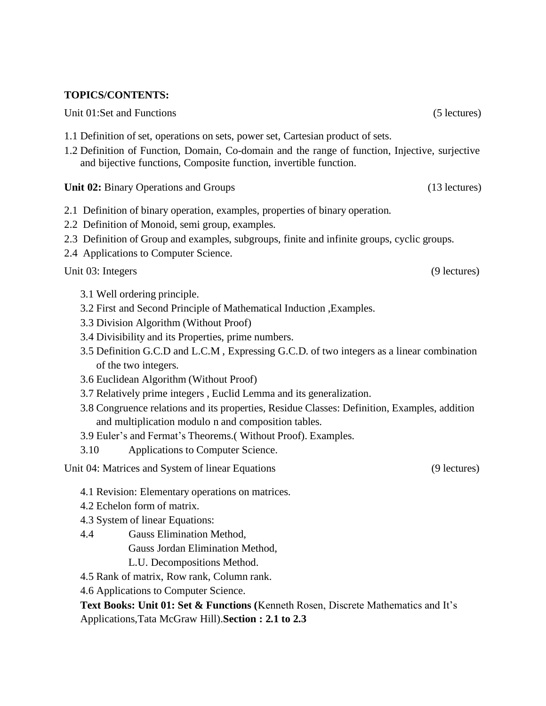#### **TOPICS/CONTENTS:**

Unit 01:Set and Functions (5 lectures) (5 lectures)

- 1.1 Definition of set, operations on sets, power set, Cartesian product of sets.
- 1.2 Definition of Function, Domain, Co-domain and the range of function, Injective, surjective and bijective functions, Composite function, invertible function.

**Unit 02:** Binary Operations and Groups (13 lectures)

- 2.1 Definition of binary operation, examples, properties of binary operation.
- 2.2 Definition of Monoid, semi group, examples.
- 2.3 Definition of Group and examples, subgroups, finite and infinite groups, cyclic groups.
- 2.4 Applications to Computer Science.

Unit 03: Integers (9 lectures)

- 3.1 Well ordering principle.
- 3.2 First and Second Principle of Mathematical Induction ,Examples.
- 3.3 Division Algorithm (Without Proof)
- 3.4 Divisibility and its Properties, prime numbers.
- 3.5 Definition G.C.D and L.C.M , Expressing G.C.D. of two integers as a linear combination of the two integers.
- 3.6 Euclidean Algorithm (Without Proof)
- 3.7 Relatively prime integers , Euclid Lemma and its generalization.
- 3.8 Congruence relations and its properties, Residue Classes: Definition, Examples, addition and multiplication modulo n and composition tables.
- 3.9 Euler's and Fermat's Theorems.( Without Proof). Examples.
- 3.10 Applications to Computer Science.

Unit 04: Matrices and System of linear Equations (9 lectures) (9 lectures)

- 4.1 Revision: Elementary operations on matrices.
- 4.2 Echelon form of matrix.
- 4.3 System of linear Equations:
- 4.4 Gauss Elimination Method, Gauss Jordan Elimination Method, L.U. Decompositions Method.
- 4.5 Rank of matrix, Row rank, Column rank.
- 4.6 Applications to Computer Science.

**Text Books: Unit 01: Set & Functions (**Kenneth Rosen, Discrete Mathematics and It's Applications,Tata McGraw Hill).**Section : 2.1 to 2.3**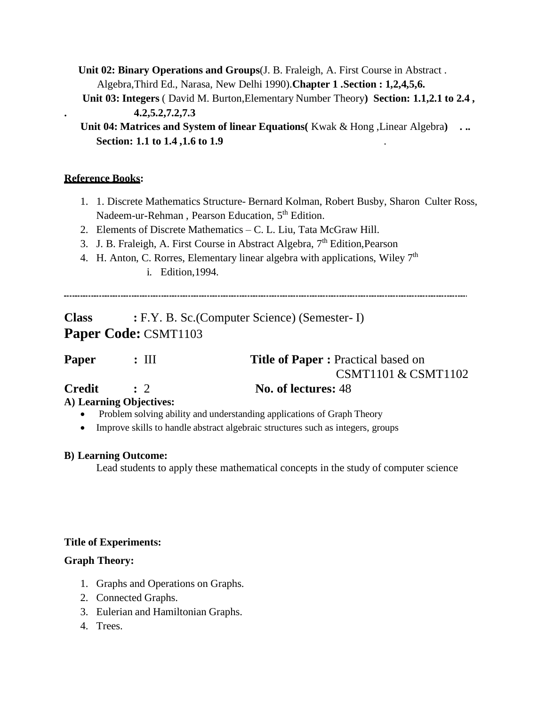**Unit 02: Binary Operations and Groups**(J. B. Fraleigh, A. First Course in Abstract . Algebra,Third Ed., Narasa, New Delhi 1990).**Chapter 1 .Section : 1,2,4,5,6.**

**Unit 03: Integers** ( David M. Burton,Elementary Number Theory**) Section: 1.1,2.1 to 2.4 , . 4.2,5.2,7.2,7.3**

**Unit 04: Matrices and System of linear Equations(** Kwak & Hong ,Linear Algebra**) . .. Section: 1.1 to 1.4 ,1.6 to 1.9** .

### **Reference Books:**

- 1. 1. Discrete Mathematics Structure- Bernard Kolman, Robert Busby, Sharon Culter Ross, Nadeem-ur-Rehman, Pearson Education, 5<sup>th</sup> Edition.
- 2. Elements of Discrete Mathematics C. L. Liu, Tata McGraw Hill.
- 3. J. B. Fraleigh, A. First Course in Abstract Algebra, 7<sup>th</sup> Edition, Pearson
- 4. H. Anton, C. Rorres, Elementary linear algebra with applications, Wiley  $7<sup>th</sup>$ i. Edition,1994.

**Class :** F.Y. B. Sc.(Computer Science) (Semester- I) **Paper Code:** CSMT1103

| <b>Paper</b> | $: \mathbf{III}$ | <b>Title of Paper : Practical based on</b> |
|--------------|------------------|--------------------------------------------|
|              |                  | CSMT1101 & CSMT1102                        |
| Credit       | $\cdot$ 2        | No. of lectures: 48                        |

### **A) Learning Objectives:**

- Problem solving ability and understanding applications of Graph Theory
- Improve skills to handle abstract algebraic structures such as integers, groups

### **B) Learning Outcome:**

Lead students to apply these mathematical concepts in the study of computer science

### **Title of Experiments:**

### **Graph Theory:**

- 1. Graphs and Operations on Graphs.
- 2. Connected Graphs.
- 3. Eulerian and Hamiltonian Graphs.
- 4. Trees.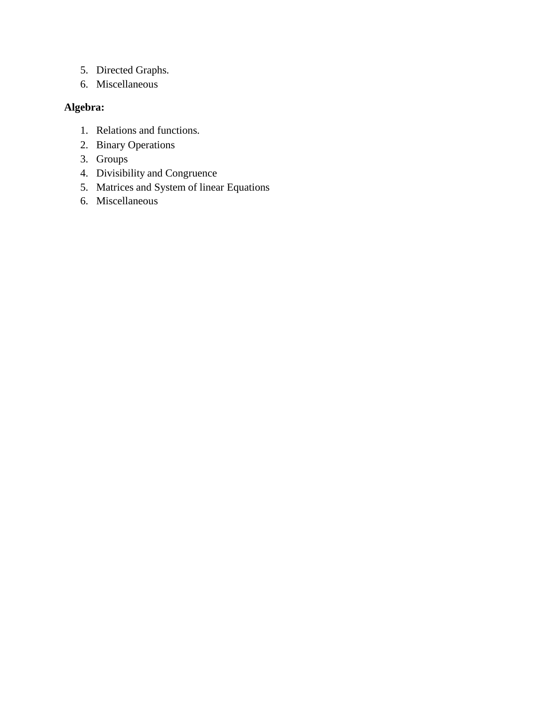- 5. Directed Graphs.
- 6. Miscellaneous

### **Algebra:**

- 1. Relations and functions.
- 2. Binary Operations
- 3. Groups
- 4. Divisibility and Congruence
- 5. Matrices and System of linear Equations
- 6. Miscellaneous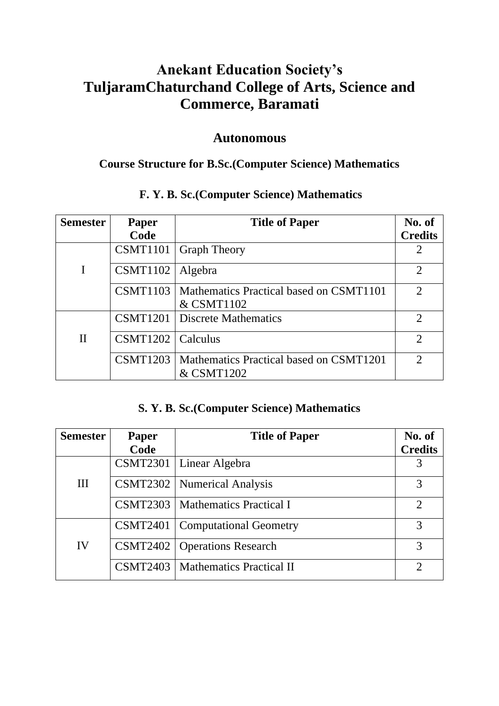# **Anekant Education Society's TuljaramChaturchand College of Arts, Science and Commerce, Baramati**

# **Autonomous**

# **Course Structure for B.Sc.(Computer Science) Mathematics**

# **F. Y. B. Sc.(Computer Science) Mathematics**

| <b>Semester</b> | <b>Paper</b>    | <b>Title of Paper</b>                                            | No. of                      |
|-----------------|-----------------|------------------------------------------------------------------|-----------------------------|
|                 | Code            |                                                                  | <b>Credits</b>              |
|                 | <b>CSMT1101</b> | <b>Graph Theory</b>                                              | $\overline{2}$              |
|                 | <b>CSMT1102</b> | Algebra                                                          | $\overline{2}$              |
|                 |                 | CSMT1103   Mathematics Practical based on CSMT1101<br>& CSMT1102 | $\mathcal{D}_{\mathcal{L}}$ |
|                 |                 | <b>CSMT1201</b>   Discrete Mathematics                           | $\overline{2}$              |
| $\mathbf{I}$    | <b>CSMT1202</b> | Calculus                                                         | $\overline{2}$              |
|                 |                 | CSMT1203   Mathematics Practical based on CSMT1201<br>& CSMT1202 | $\mathcal{D}_{\mathcal{L}}$ |

# **S. Y. B. Sc.(Computer Science) Mathematics**

| <b>Semester</b> | Paper           | <b>Title of Paper</b>                      | No. of         |
|-----------------|-----------------|--------------------------------------------|----------------|
|                 | Code            |                                            | <b>Credits</b> |
|                 |                 | CSMT2301   Linear Algebra                  |                |
| $\mathbf{III}$  |                 | <b>CSMT2302</b>   Numerical Analysis       |                |
|                 |                 | <b>CSMT2303</b>   Mathematics Practical I  | 2              |
|                 | <b>CSMT2401</b> | Computational Geometry                     | 3              |
| IV              |                 | <b>CSMT2402</b>   Operations Research      | 3              |
|                 |                 | <b>CSMT2403</b>   Mathematics Practical II | っ              |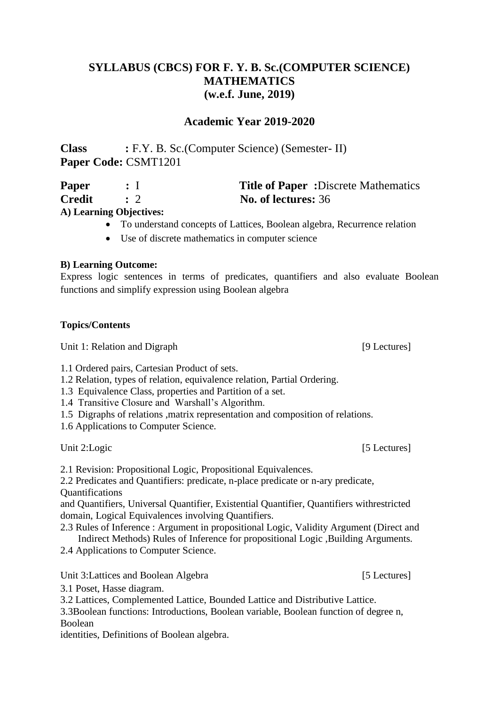# **SYLLABUS (CBCS) FOR F. Y. B. Sc.(COMPUTER SCIENCE) MATHEMATICS (w.e.f. June, 2019)**

### **Academic Year 2019-2020**

**Class :** F.Y. B. Sc.(Computer Science) (Semester- II) **Paper Code:** CSMT1201

| Paper  |                         | <b>Title of Paper:</b> Discrete Mathematics |
|--------|-------------------------|---------------------------------------------|
| Credit |                         | No. of lectures: 36                         |
|        | A) Learning Objectives: |                                             |

# • To understand concepts of Lattices, Boolean algebra, Recurrence relation

• Use of discrete mathematics in computer science

#### **B) Learning Outcome:**

Express logic sentences in terms of predicates, quantifiers and also evaluate Boolean functions and simplify expression using Boolean algebra

#### **Topics/Contents**

Unit 1: Relation and Digraph [9 Lectures]

1.1 Ordered pairs, Cartesian Product of sets.

- 1.2 Relation, types of relation, equivalence relation, Partial Ordering.
- 1.3 Equivalence Class, properties and Partition of a set.
- 1.4 Transitive Closure and Warshall's Algorithm.
- 1.5 Digraphs of relations ,matrix representation and composition of relations.

1.6 Applications to Computer Science.

Unit 2: Logic [5 Lectures]

2.1 Revision: Propositional Logic, Propositional Equivalences.

2.2 Predicates and Quantifiers: predicate, n-place predicate or n-ary predicate, **Ouantifications** 

and Quantifiers, Universal Quantifier, Existential Quantifier, Quantifiers withrestricted domain, Logical Equivalences involving Quantifiers.

2.3 Rules of Inference : Argument in propositional Logic, Validity Argument (Direct and Indirect Methods) Rules of Inference for propositional Logic ,Building Arguments.

2.4 Applications to Computer Science.

Unit 3: Lattices and Boolean Algebra [5 Lectures]

3.1 Poset, Hasse diagram.

3.2 Lattices, Complemented Lattice, Bounded Lattice and Distributive Lattice.

3.3Boolean functions: Introductions, Boolean variable, Boolean function of degree n, Boolean

identities, Definitions of Boolean algebra.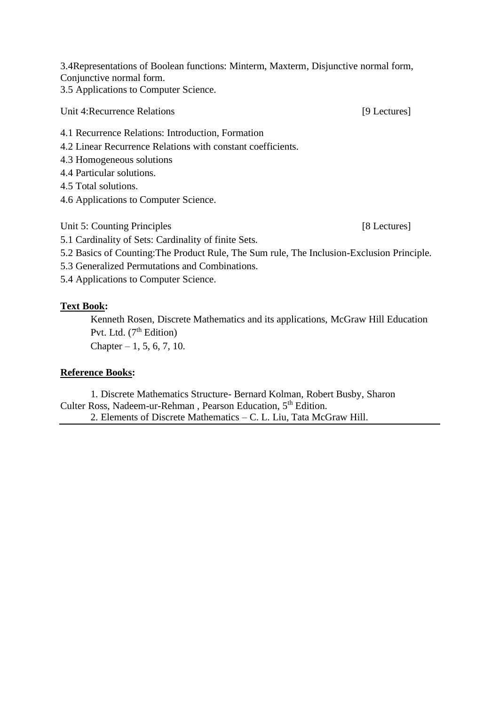3.4Representations of Boolean functions: Minterm, Maxterm, Disjunctive normal form, Conjunctive normal form.

3.5 Applications to Computer Science.

Unit 4: Recurrence Relations [9 Lectures]

- 4.1 Recurrence Relations: Introduction, Formation
- 4.2 Linear Recurrence Relations with constant coefficients.
- 4.3 Homogeneous solutions
- 4.4 Particular solutions.
- 4.5 Total solutions.
- 4.6 Applications to Computer Science.

Unit 5: Counting Principles [8 Lectures]

5.1 Cardinality of Sets: Cardinality of finite Sets.

5.2 Basics of Counting:The Product Rule, The Sum rule, The Inclusion-Exclusion Principle.

5.3 Generalized Permutations and Combinations.

5.4 Applications to Computer Science.

### **Text Book:**

Kenneth Rosen, Discrete Mathematics and its applications, McGraw Hill Education Pvt. Ltd.  $(7<sup>th</sup> Edition)$ 

Chapter  $-1, 5, 6, 7, 10$ .

### **Reference Books:**

 1. Discrete Mathematics Structure- Bernard Kolman, Robert Busby, Sharon Culter Ross, Nadeem-ur-Rehman, Pearson Education, 5<sup>th</sup> Edition.

2. Elements of Discrete Mathematics – C. L. Liu, Tata McGraw Hill.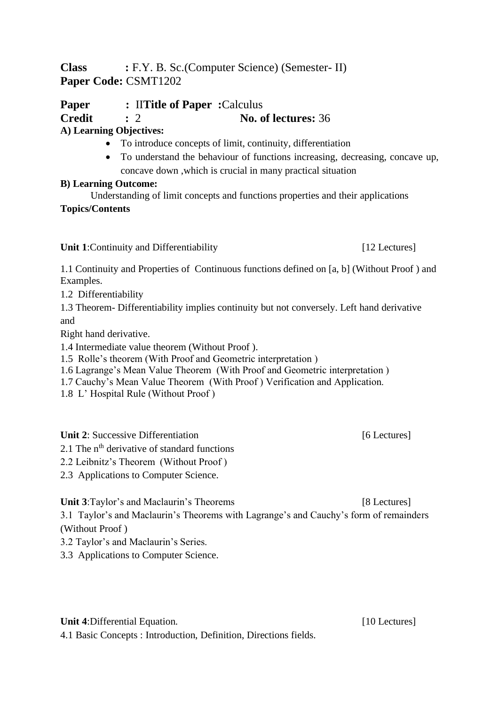**Class :** F.Y. B. Sc.(Computer Science) (Semester- II) **Paper Code:** CSMT1202

**Paper :** II**Title of Paper :** Calculus **Credit :** 2 **No. of lectures:** 36 **A) Learning Objectives:**

# • To introduce concepts of limit, continuity, differentiation

• To understand the behaviour of functions increasing, decreasing, concave up, concave down ,which is crucial in many practical situation

### **B) Learning Outcome:**

Understanding of limit concepts and functions properties and their applications

### **Topics/Contents**

**Unit 1**:Continuity and Differentiability [12 Lectures]

1.1 Continuity and Properties of Continuous functions defined on [a, b] (Without Proof ) and Examples.

1.2 Differentiability

1.3 Theorem- Differentiability implies continuity but not conversely. Left hand derivative and

Right hand derivative.

1.4 Intermediate value theorem (Without Proof ).

1.5 Rolle's theorem (With Proof and Geometric interpretation )

1.6 Lagrange's Mean Value Theorem (With Proof and Geometric interpretation )

1.7 Cauchy's Mean Value Theorem (With Proof ) Verification and Application.

1.8 L' Hospital Rule (Without Proof )

**Unit 2**: Successive Differentiation [6 Lectures]

2.1 The  $n^{th}$  derivative of standard functions

2.2 Leibnitz's Theorem (Without Proof )

2.3 Applications to Computer Science.

**Unit 3**:Taylor's and Maclaurin's Theorems [8 Lectures]

3.1 Taylor's and Maclaurin's Theorems with Lagrange's and Cauchy's form of remainders (Without Proof )

3.2 Taylor's and Maclaurin's Series.

3.3 Applications to Computer Science.

**Unit 4:**Differential Equation. [10 Lectures] 4.1 Basic Concepts : Introduction, Definition, Directions fields.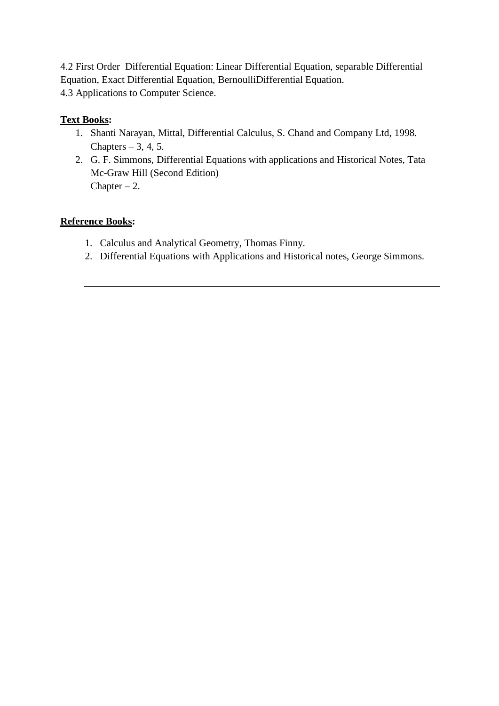4.2 First Order Differential Equation: Linear Differential Equation, separable Differential Equation, Exact Differential Equation, BernoulliDifferential Equation. 4.3 Applications to Computer Science.

### **Text Books:**

- 1. Shanti Narayan, Mittal, Differential Calculus, S. Chand and Company Ltd, 1998. Chapters  $-3, 4, 5$ .
- 2. G. F. Simmons, Differential Equations with applications and Historical Notes, Tata Mc-Graw Hill (Second Edition) Chapter  $-2$ .

### **Reference Books:**

- 1. Calculus and Analytical Geometry, Thomas Finny.
- 2. Differential Equations with Applications and Historical notes, George Simmons.